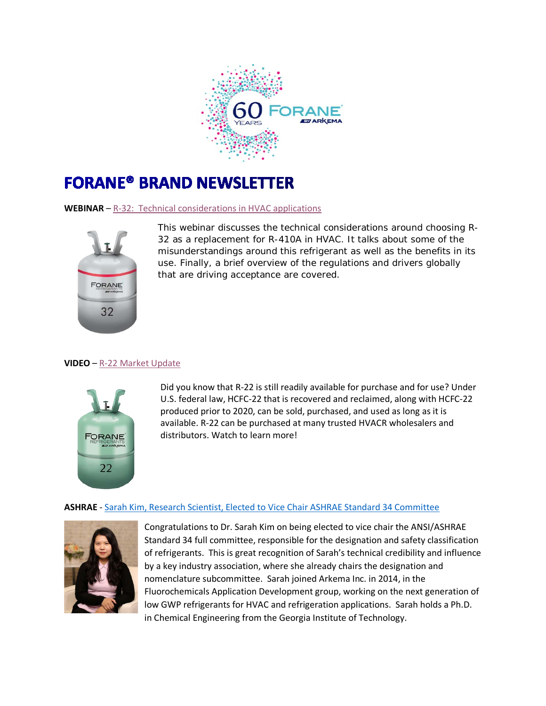

## **FORANE® BRAND NEWSLETTER**

**WEBINAR** – [R-32: Technical considerations in HVAC applications](https://www.forane.com/en/literature/webinars/?wchannelid=sqza21uowh&wvideoid=yjp4h3b0q7)



This webinar discusses the technical considerations around choosing R-32 as a replacement for R-410A in HVAC. It talks about some of the misunderstandings around this refrigerant as well as the benefits in its use. Finally, a brief overview of the regulations and drivers globally that are driving acceptance are covered.

## **VIDEO** – [R-22 Market Update](https://www.forane.com/en/literature/videos/)



Did you know that R-22 is still readily available for purchase and for use? Under U.S. federal law, HCFC-22 that is recovered and reclaimed, along with HCFC-22 produced prior to 2020, can be sold, purchased, and used as long as it is available. R-22 can be purchased at many trusted HVACR wholesalers and distributors. Watch to learn more!

## **ASHRAE** - [Sarah Kim, Research Scientist, Elected to Vice Chair ASHRAE Standard 34 Committee](https://www.facebook.com/ArkemaInc/posts/congratulations-to-fluorochemicals-research-scientist-dr-sarah-kim-on-being-elec/3393052057384897/)



Congratulations to Dr. Sarah Kim on being elected to vice chair the ANSI/ASHRAE Standard 34 full committee, responsible for the designation and safety classification of refrigerants. This is great recognition of Sarah's technical credibility and influence by a key industry association, where she already chairs the designation and nomenclature subcommittee. Sarah joined Arkema Inc. in 2014, in the Fluorochemicals Application Development group, working on the next generation of low GWP refrigerants for HVAC and refrigeration applications. Sarah holds a Ph.D. in Chemical Engineering from the Georgia Institute of Technology.